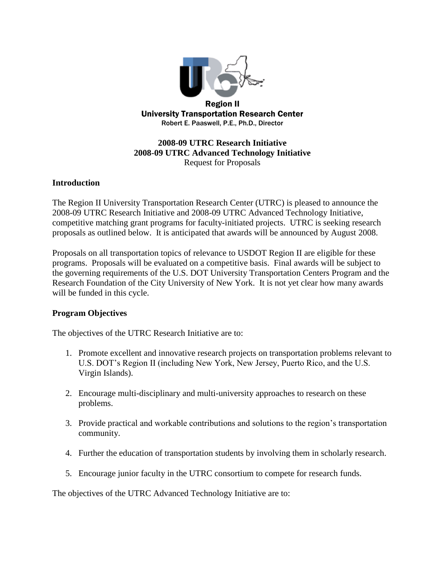

# **2008-09 UTRC Research Initiative 2008-09 UTRC Advanced Technology Initiative** Request for Proposals

## **Introduction**

The Region II University Transportation Research Center (UTRC) is pleased to announce the 2008-09 UTRC Research Initiative and 2008-09 UTRC Advanced Technology Initiative, competitive matching grant programs for faculty-initiated projects. UTRC is seeking research proposals as outlined below. It is anticipated that awards will be announced by August 2008.

Proposals on all transportation topics of relevance to USDOT Region II are eligible for these programs. Proposals will be evaluated on a competitive basis. Final awards will be subject to the governing requirements of the U.S. DOT University Transportation Centers Program and the Research Foundation of the City University of New York. It is not yet clear how many awards will be funded in this cycle.

#### **Program Objectives**

The objectives of the UTRC Research Initiative are to:

- 1. Promote excellent and innovative research projects on transportation problems relevant to U.S. DOT's Region II (including New York, New Jersey, Puerto Rico, and the U.S. Virgin Islands).
- 2. Encourage multi-disciplinary and multi-university approaches to research on these problems.
- 3. Provide practical and workable contributions and solutions to the region's transportation community.
- 4. Further the education of transportation students by involving them in scholarly research.
- 5. Encourage junior faculty in the UTRC consortium to compete for research funds.

The objectives of the UTRC Advanced Technology Initiative are to: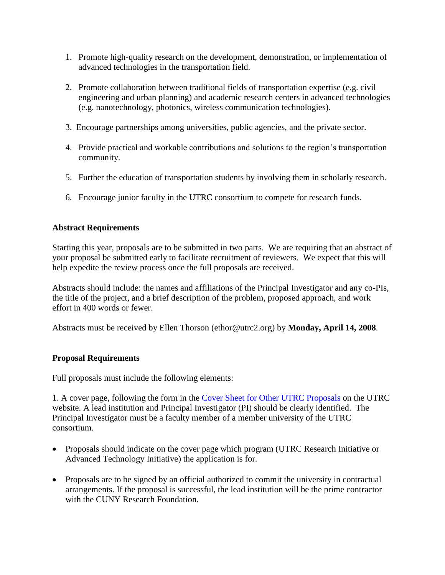- 1. Promote high-quality research on the development, demonstration, or implementation of advanced technologies in the transportation field.
- 2. Promote collaboration between traditional fields of transportation expertise (e.g. civil engineering and urban planning) and academic research centers in advanced technologies (e.g. nanotechnology, photonics, wireless communication technologies).
- 3. Encourage partnerships among universities, public agencies, and the private sector.
- 4. Provide practical and workable contributions and solutions to the region's transportation community.
- 5. Further the education of transportation students by involving them in scholarly research.
- 6. Encourage junior faculty in the UTRC consortium to compete for research funds.

# **Abstract Requirements**

Starting this year, proposals are to be submitted in two parts. We are requiring that an abstract of your proposal be submitted early to facilitate recruitment of reviewers. We expect that this will help expedite the review process once the full proposals are received.

Abstracts should include: the names and affiliations of the Principal Investigator and any co-PIs, the title of the project, and a brief description of the problem, proposed approach, and work effort in 400 words or fewer.

Abstracts must be received by Ellen Thorson (ethor@utrc2.org) by **Monday, April 14, 2008**.

# **Proposal Requirements**

Full proposals must include the following elements:

1. A cover page, following the form in the [Cover Sheet for Other UTRC Proposals](http://www.utrc2.org/research/assets/UTRC-GeneralCoverSheet.doc) on the UTRC website. A lead institution and Principal Investigator (PI) should be clearly identified. The Principal Investigator must be a faculty member of a member university of the UTRC consortium.

- Proposals should indicate on the cover page which program (UTRC Research Initiative or Advanced Technology Initiative) the application is for.
- Proposals are to be signed by an official authorized to commit the university in contractual arrangements. If the proposal is successful, the lead institution will be the prime contractor with the CUNY Research Foundation.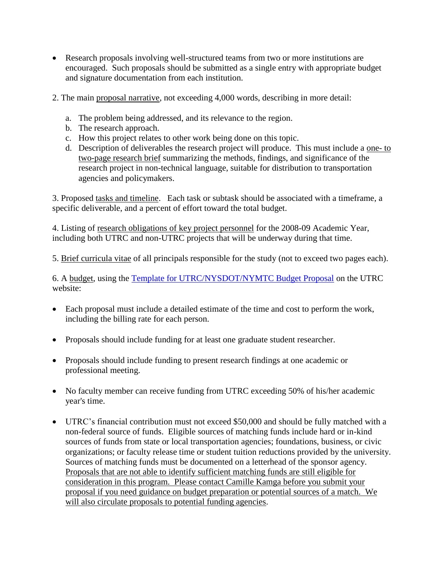- Research proposals involving well-structured teams from two or more institutions are encouraged. Such proposals should be submitted as a single entry with appropriate budget and signature documentation from each institution.
- 2. The main proposal narrative, not exceeding 4,000 words, describing in more detail:
	- a. The problem being addressed, and its relevance to the region.
	- b. The research approach.
	- c. How this project relates to other work being done on this topic.
	- d. Description of deliverables the research project will produce. This must include a one- to two-page research brief summarizing the methods, findings, and significance of the research project in non-technical language, suitable for distribution to transportation agencies and policymakers.

3. Proposed tasks and timeline. Each task or subtask should be associated with a timeframe, a specific deliverable, and a percent of effort toward the total budget.

4. Listing of research obligations of key project personnel for the 2008-09 Academic Year, including both UTRC and non-UTRC projects that will be underway during that time.

5. Brief curricula vitae of all principals responsible for the study (not to exceed two pages each).

6. A budget, using the [Template for UTRC/NYSDOT/NYMTC Budget Proposal](http://www.utrc2.org/research/assets/nysdotbudgetproposal.xls) on the UTRC website:

- Each proposal must include a detailed estimate of the time and cost to perform the work, including the billing rate for each person.
- Proposals should include funding for at least one graduate student researcher.
- Proposals should include funding to present research findings at one academic or professional meeting.
- No faculty member can receive funding from UTRC exceeding 50% of his/her academic year's time.
- UTRC's financial contribution must not exceed \$50,000 and should be fully matched with a non-federal source of funds. Eligible sources of matching funds include hard or in-kind sources of funds from state or local transportation agencies; foundations, business, or civic organizations; or faculty release time or student tuition reductions provided by the university. Sources of matching funds must be documented on a letterhead of the sponsor agency. Proposals that are not able to identify sufficient matching funds are still eligible for consideration in this program. Please contact Camille Kamga before you submit your proposal if you need guidance on budget preparation or potential sources of a match. We will also circulate proposals to potential funding agencies.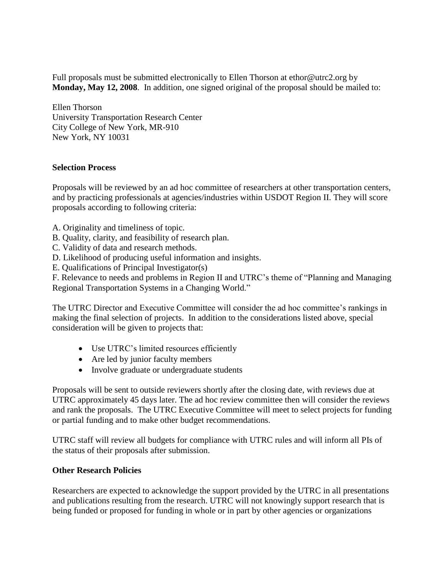Full proposals must be submitted electronically to Ellen Thorson at ethor@utrc2.org by **Monday, May 12, 2008**. In addition, one signed original of the proposal should be mailed to:

Ellen Thorson University Transportation Research Center City College of New York, MR-910 New York, NY 10031

## **Selection Process**

Proposals will be reviewed by an ad hoc committee of researchers at other transportation centers, and by practicing professionals at agencies/industries within USDOT Region II. They will score proposals according to following criteria:

- A. Originality and timeliness of topic.
- B. Quality, clarity, and feasibility of research plan.
- C. Validity of data and research methods.
- D. Likelihood of producing useful information and insights.
- E. Qualifications of Principal Investigator(s)

F. Relevance to needs and problems in Region II and UTRC's theme of "Planning and Managing Regional Transportation Systems in a Changing World."

The UTRC Director and Executive Committee will consider the ad hoc committee's rankings in making the final selection of projects. In addition to the considerations listed above, special consideration will be given to projects that:

- Use UTRC's limited resources efficiently
- Are led by junior faculty members
- Involve graduate or undergraduate students

Proposals will be sent to outside reviewers shortly after the closing date, with reviews due at UTRC approximately 45 days later. The ad hoc review committee then will consider the reviews and rank the proposals. The UTRC Executive Committee will meet to select projects for funding or partial funding and to make other budget recommendations.

UTRC staff will review all budgets for compliance with UTRC rules and will inform all PIs of the status of their proposals after submission.

## **Other Research Policies**

Researchers are expected to acknowledge the support provided by the UTRC in all presentations and publications resulting from the research. UTRC will not knowingly support research that is being funded or proposed for funding in whole or in part by other agencies or organizations